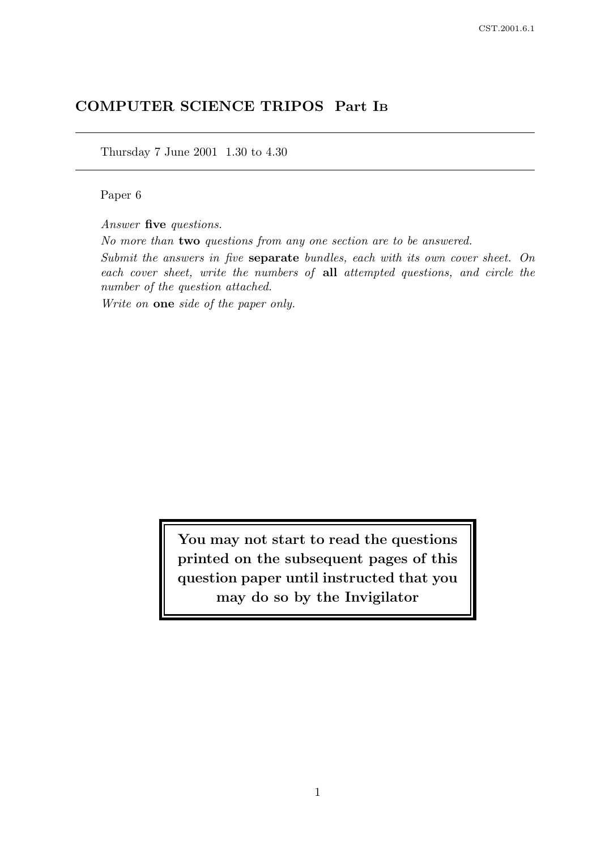# COMPUTER SCIENCE TRIPOS Part I<sup>B</sup>

Thursday 7 June 2001 1.30 to 4.30

#### Paper 6

Answer five questions.

No more than two questions from any one section are to be answered.

Submit the answers in five separate bundles, each with its own cover sheet. On each cover sheet, write the numbers of all attempted questions, and circle the number of the question attached.

Write on **one** side of the paper only.

You may not start to read the questions printed on the subsequent pages of this question paper until instructed that you may do so by the Invigilator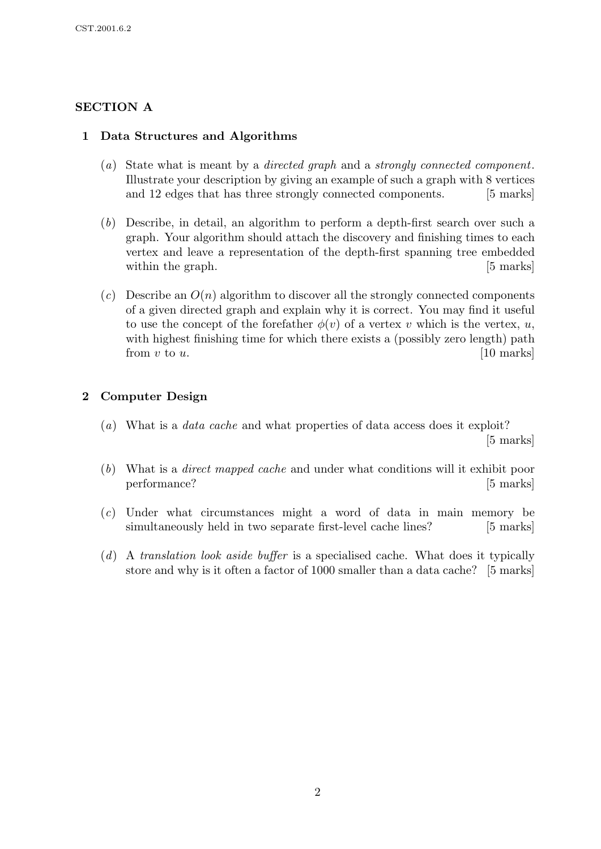# SECTION A

# 1 Data Structures and Algorithms

- (a) State what is meant by a directed graph and a strongly connected component. Illustrate your description by giving an example of such a graph with 8 vertices and 12 edges that has three strongly connected components. [5 marks]
- (b) Describe, in detail, an algorithm to perform a depth-first search over such a graph. Your algorithm should attach the discovery and finishing times to each vertex and leave a representation of the depth-first spanning tree embedded within the graph. [5] marks]
- (c) Describe an  $O(n)$  algorithm to discover all the strongly connected components of a given directed graph and explain why it is correct. You may find it useful to use the concept of the forefather  $\phi(v)$  of a vertex v which is the vertex, u, with highest finishing time for which there exists a (possibly zero length) path from  $v$  to  $u$ . [10 marks]

### 2 Computer Design

- (a) What is a *data cache* and what properties of data access does it exploit? [5 marks]
- (b) What is a direct mapped cache and under what conditions will it exhibit poor performance? [5 marks]
- (c) Under what circumstances might a word of data in main memory be simultaneously held in two separate first-level cache lines? [5 marks]
- (d) A translation look aside buffer is a specialised cache. What does it typically store and why is it often a factor of 1000 smaller than a data cache? [5 marks]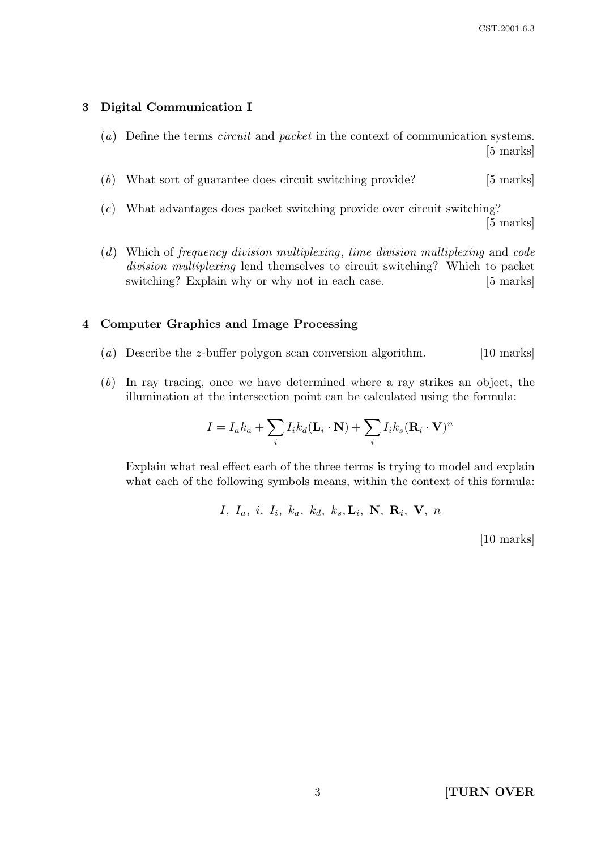#### 3 Digital Communication I

- (a) Define the terms circuit and packet in the context of communication systems. [5 marks]
- (b) What sort of guarantee does circuit switching provide? [5 marks]
- (c) What advantages does packet switching provide over circuit switching? [5 marks]
- (d) Which of frequency division multiplexing, time division multiplexing and code division multiplexing lend themselves to circuit switching? Which to packet switching? Explain why or why not in each case. [5 marks]

#### 4 Computer Graphics and Image Processing

- (a) Describe the z-buffer polygon scan conversion algorithm. [10 marks]
- (b) In ray tracing, once we have determined where a ray strikes an object, the illumination at the intersection point can be calculated using the formula:

$$
I = I_a k_a + \sum_i I_i k_d (\mathbf{L}_i \cdot \mathbf{N}) + \sum_i I_i k_s (\mathbf{R}_i \cdot \mathbf{V})^n
$$

Explain what real effect each of the three terms is trying to model and explain what each of the following symbols means, within the context of this formula:

$$
I, I_a, i, I_i, k_a, k_d, k_s, L_i, N, R_i, V, n
$$

[10 marks]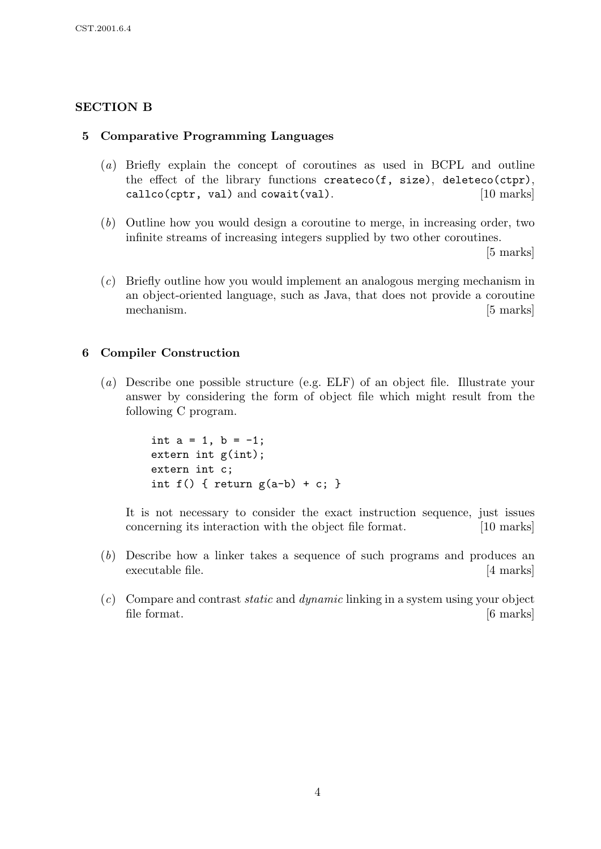# SECTION B

#### 5 Comparative Programming Languages

- (a) Briefly explain the concept of coroutines as used in BCPL and outline the effect of the library functions createco(f, size), deleteco(ctpr), callco(cptr, val) and cowait(val). [10 marks]
- (b) Outline how you would design a coroutine to merge, in increasing order, two infinite streams of increasing integers supplied by two other coroutines.

[5 marks]

(c) Briefly outline how you would implement an analogous merging mechanism in an object-oriented language, such as Java, that does not provide a coroutine mechanism. [5 marks]

#### 6 Compiler Construction

(a) Describe one possible structure (e.g. ELF) of an object file. Illustrate your answer by considering the form of object file which might result from the following C program.

```
int a = 1, b = -1;
extern int g(int);
extern int c;
int f() \{ return g(a-b) + c; \}
```
It is not necessary to consider the exact instruction sequence, just issues concerning its interaction with the object file format. [10 marks]

- (b) Describe how a linker takes a sequence of such programs and produces an executable file. [4 marks]
- $(c)$  Compare and contrast *static* and *dynamic* linking in a system using your object file format. [6 marks]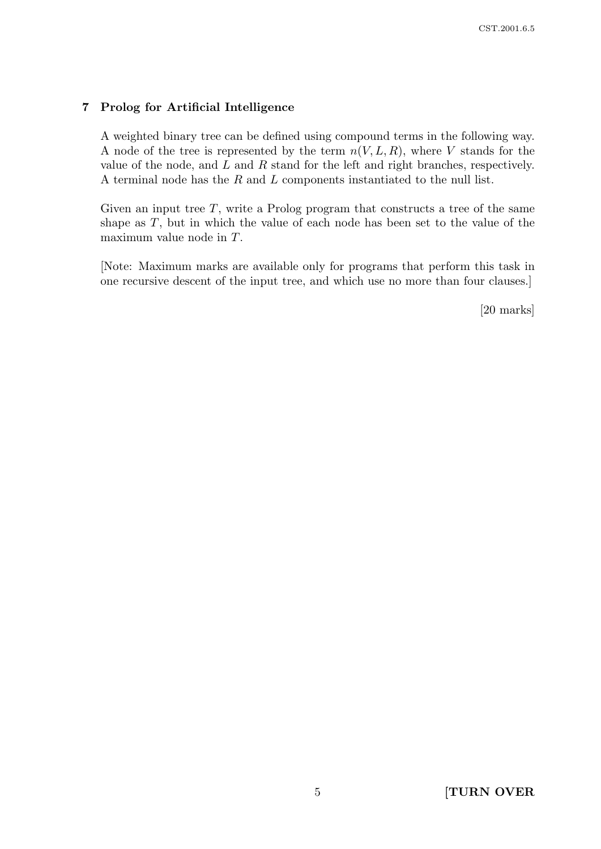#### 7 Prolog for Artificial Intelligence

A weighted binary tree can be defined using compound terms in the following way. A node of the tree is represented by the term  $n(V, L, R)$ , where V stands for the value of the node, and  $L$  and  $R$  stand for the left and right branches, respectively. A terminal node has the R and L components instantiated to the null list.

Given an input tree  $T$ , write a Prolog program that constructs a tree of the same shape as T, but in which the value of each node has been set to the value of the maximum value node in T.

[Note: Maximum marks are available only for programs that perform this task in one recursive descent of the input tree, and which use no more than four clauses.]

[20 marks]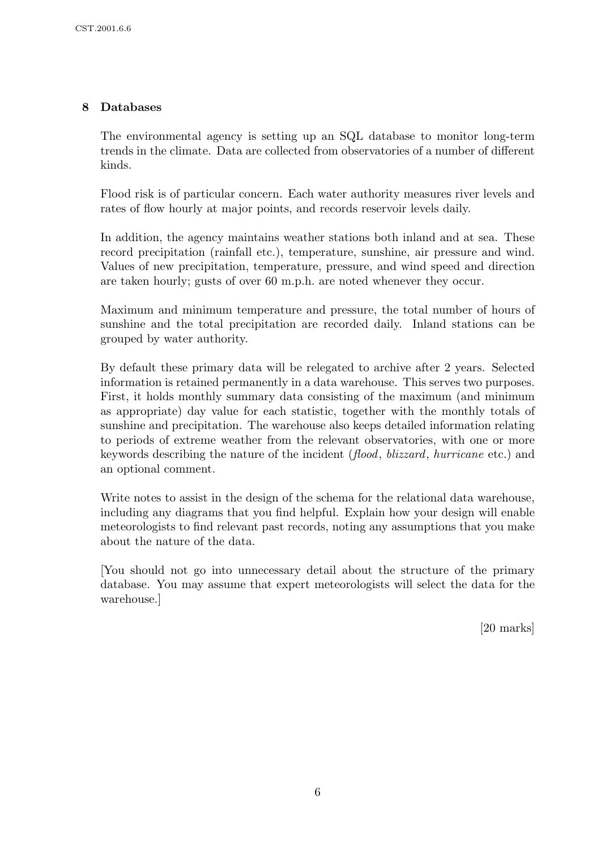# 8 Databases

The environmental agency is setting up an SQL database to monitor long-term trends in the climate. Data are collected from observatories of a number of different kinds.

Flood risk is of particular concern. Each water authority measures river levels and rates of flow hourly at major points, and records reservoir levels daily.

In addition, the agency maintains weather stations both inland and at sea. These record precipitation (rainfall etc.), temperature, sunshine, air pressure and wind. Values of new precipitation, temperature, pressure, and wind speed and direction are taken hourly; gusts of over 60 m.p.h. are noted whenever they occur.

Maximum and minimum temperature and pressure, the total number of hours of sunshine and the total precipitation are recorded daily. Inland stations can be grouped by water authority.

By default these primary data will be relegated to archive after 2 years. Selected information is retained permanently in a data warehouse. This serves two purposes. First, it holds monthly summary data consisting of the maximum (and minimum as appropriate) day value for each statistic, together with the monthly totals of sunshine and precipitation. The warehouse also keeps detailed information relating to periods of extreme weather from the relevant observatories, with one or more keywords describing the nature of the incident (flood, blizzard, hurricane etc.) and an optional comment.

Write notes to assist in the design of the schema for the relational data warehouse, including any diagrams that you find helpful. Explain how your design will enable meteorologists to find relevant past records, noting any assumptions that you make about the nature of the data.

[You should not go into unnecessary detail about the structure of the primary database. You may assume that expert meteorologists will select the data for the warehouse.]

[20 marks]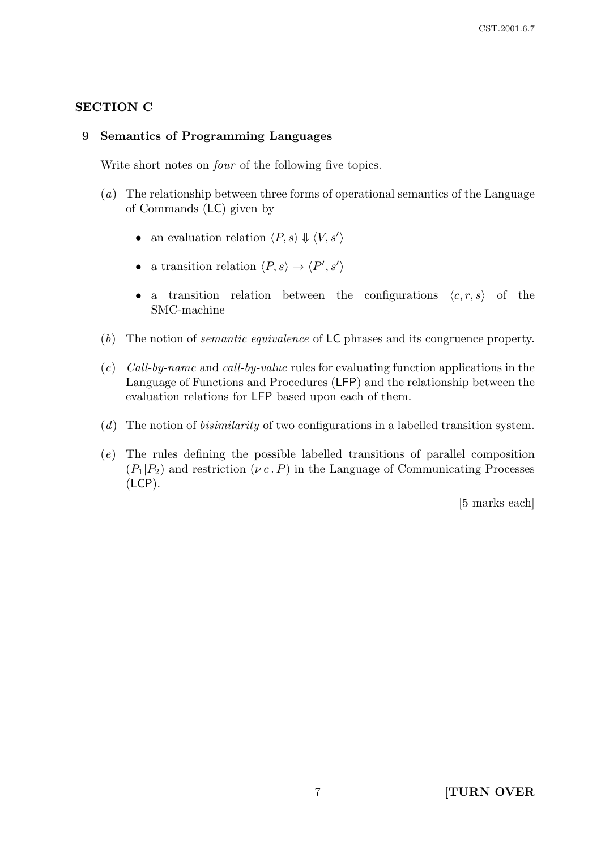# SECTION C

#### 9 Semantics of Programming Languages

Write short notes on *four* of the following five topics.

- (a) The relationship between three forms of operational semantics of the Language of Commands (LC) given by
	- an evaluation relation  $\langle P, s \rangle \Downarrow \langle V, s' \rangle$
	- a transition relation  $\langle P, s \rangle \to \langle P', s' \rangle$
	- a transition relation between the configurations  $\langle c, r, s \rangle$  of the SMC-machine
- (b) The notion of semantic equivalence of LC phrases and its congruence property.
- (c) Call-by-name and call-by-value rules for evaluating function applications in the Language of Functions and Procedures (LFP) and the relationship between the evaluation relations for LFP based upon each of them.
- $(d)$  The notion of *bisimilarity* of two configurations in a labelled transition system.
- (e) The rules defining the possible labelled transitions of parallel composition  $(P_1|P_2)$  and restriction  $(\nu c \cdot P)$  in the Language of Communicating Processes (LCP).

[5 marks each]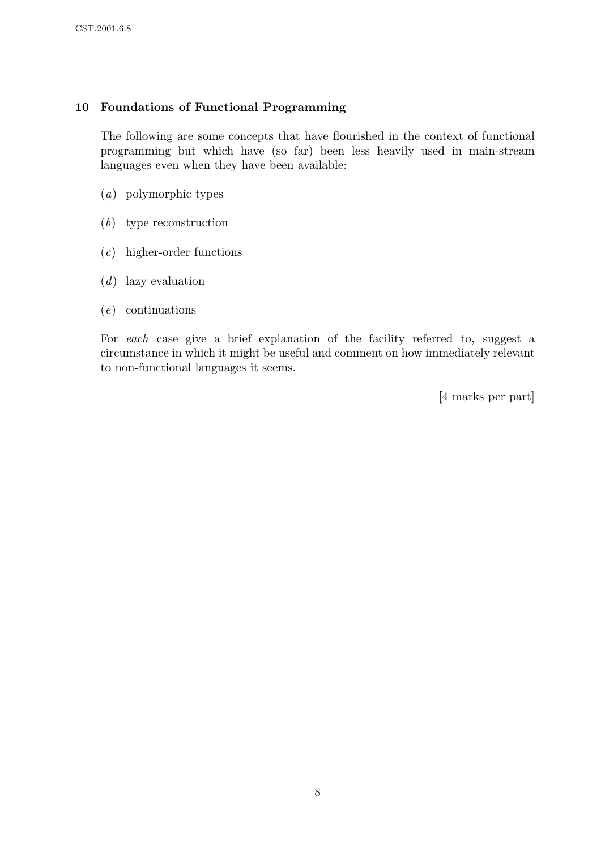# 10 Foundations of Functional Programming

The following are some concepts that have flourished in the context of functional programming but which have (so far) been less heavily used in main-stream languages even when they have been available:

- (a) polymorphic types
- (b) type reconstruction
- (c) higher-order functions
- (d) lazy evaluation
- (e) continuations

For each case give a brief explanation of the facility referred to, suggest a circumstance in which it might be useful and comment on how immediately relevant to non-functional languages it seems.

[4 marks per part]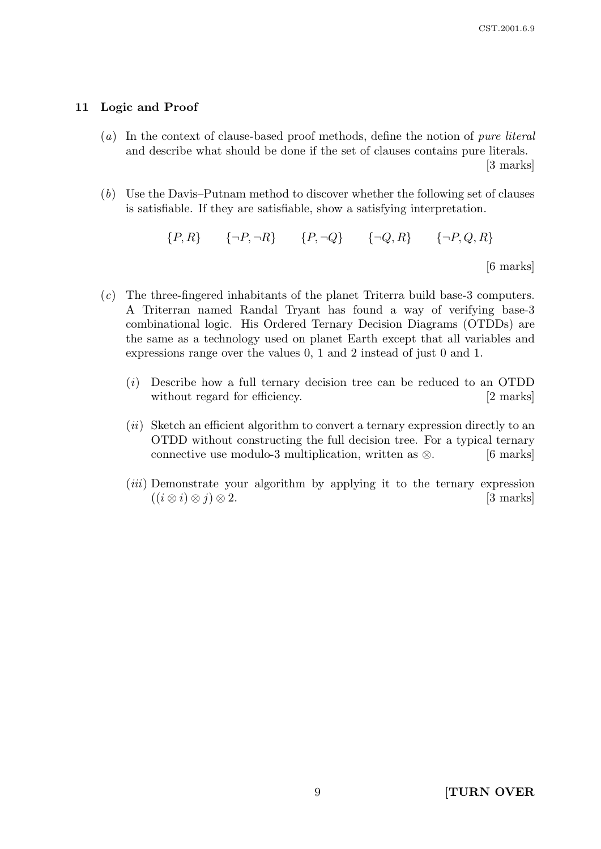#### 11 Logic and Proof

(a) In the context of clause-based proof methods, define the notion of pure literal and describe what should be done if the set of clauses contains pure literals.

[3 marks]

(b) Use the Davis–Putnam method to discover whether the following set of clauses is satisfiable. If they are satisfiable, show a satisfying interpretation.

 ${P, R}$   ${\neg P, \neg R}$   ${P, \neg Q}$   ${\neg Q, R}$   ${\neg P, Q, R}$ 

[6 marks]

- (c) The three-fingered inhabitants of the planet Triterra build base-3 computers. A Triterran named Randal Tryant has found a way of verifying base-3 combinational logic. His Ordered Ternary Decision Diagrams (OTDDs) are the same as a technology used on planet Earth except that all variables and expressions range over the values 0, 1 and 2 instead of just 0 and 1.
	- (i) Describe how a full ternary decision tree can be reduced to an OTDD without regard for efficiency. [2 marks]
	- $(ii)$  Sketch an efficient algorithm to convert a ternary expression directly to an OTDD without constructing the full decision tree. For a typical ternary connective use modulo-3 multiplication, written as  $\otimes$ . [6 marks]
	- (*iii*) Demonstrate your algorithm by applying it to the ternary expression  $((i \otimes i) \otimes j) \otimes 2.$  [3 marks]